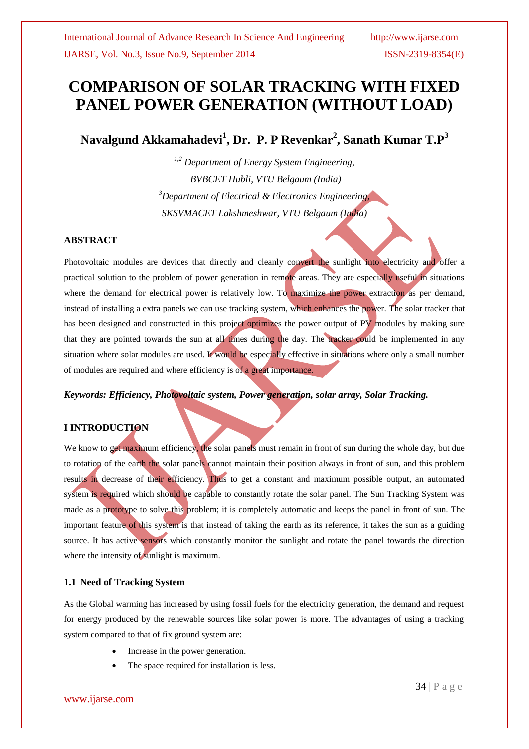# **COMPARISON OF SOLAR TRACKING WITH FIXED PANEL POWER GENERATION (WITHOUT LOAD)**

**Navalgund Akkamahadevi<sup>1</sup> , Dr. P. P Revenkar<sup>2</sup> , Sanath Kumar T.P<sup>3</sup>**

*1,2 Department of Energy System Engineering, BVBCET Hubli, VTU Belgaum (India) <sup>3</sup>Department of Electrical & Electronics Engineering, SKSVMACET Lakshmeshwar, VTU Belgaum (India)*

#### **ABSTRACT**

Photovoltaic modules are devices that directly and cleanly convert the sunlight into electricity and offer a practical solution to the problem of power generation in remote areas. They are especially useful in situations where the demand for electrical power is relatively low. To maximize the power extraction as per demand, instead of installing a extra panels we can use tracking system, which enhances the power. The solar tracker that has been designed and constructed in this project optimizes the power output of PV modules by making sure that they are pointed towards the sun at all times during the day. The tracker could be implemented in any situation where solar modules are used. It would be especially effective in situations where only a small number of modules are required and where efficiency is of a great importance.

*Keywords: Efficiency, Photovoltaic system, Power generation, solar array, Solar Tracking.*

#### **I INTRODUCTION**

We know to get maximum efficiency, the solar panels must remain in front of sun during the whole day, but due to rotation of the earth the solar panels cannot maintain their position always in front of sun, and this problem results in decrease of their efficiency. Thus to get a constant and maximum possible output, an automated system is required which should be capable to constantly rotate the solar panel. The Sun Tracking System was made as a prototype to solve this problem; it is completely automatic and keeps the panel in front of sun. The important feature of this system is that instead of taking the earth as its reference, it takes the sun as a guiding source. It has active sensors which constantly monitor the sunlight and rotate the panel towards the direction where the intensity of sunlight is maximum.

#### **1.1 Need of Tracking System**

As the Global warming has increased by using fossil fuels for the electricity generation, the demand and request for energy produced by the renewable sources like solar power is more. The advantages of using a tracking system compared to that of fix ground system are:

- Increase in the power generation.
- The space required for installation is less.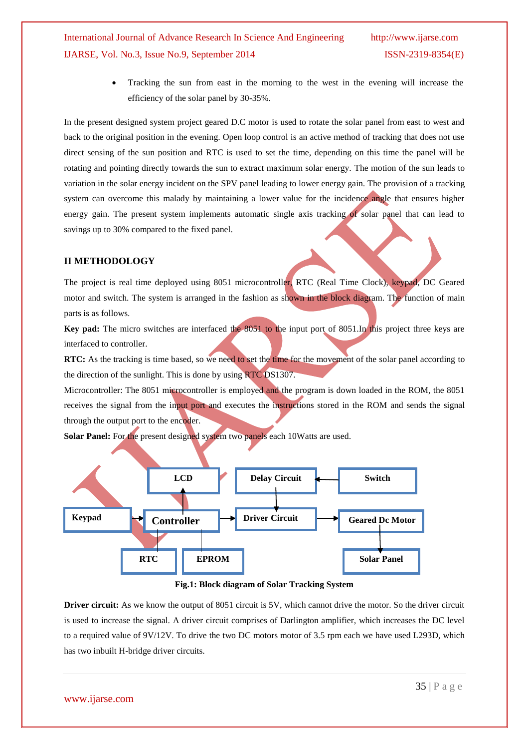### International Journal of Advance Research In Science And Engineering http://www.ijarse.com IJARSE, Vol. No.3, Issue No.9, September 2014 ISSN-2319-8354(E)

 Tracking the sun from east in the morning to the west in the evening will increase the efficiency of the solar panel by 30-35%.

In the present designed system project geared D.C motor is used to rotate the solar panel from east to west and back to the original position in the evening. Open loop control is an active method of tracking that does not use direct sensing of the sun position and RTC is used to set the time, depending on this time the panel will be rotating and pointing directly towards the sun to extract maximum solar energy. The motion of the sun leads to variation in the solar energy incident on the SPV panel leading to lower energy gain. The provision of a tracking system can overcome this malady by maintaining a lower value for the incidence angle that ensures higher energy gain. The present system implements automatic single axis tracking of solar panel that can lead to savings up to 30% compared to the fixed panel.

#### **II METHODOLOGY**

The project is real time deployed using 8051 microcontroller, RTC (Real Time Clock), keypad, DC Geared motor and switch. The system is arranged in the fashion as shown in the block diagram. The function of main parts is as follows.

**Key pad:** The micro switches are interfaced the 8051 to the input port of 8051.In this project three keys are interfaced to controller.

**RTC:** As the tracking is time based, so we need to set the time for the movement of the solar panel according to the direction of the sunlight. This is done by using RTC DS1307.

Microcontroller: The 8051 microcontroller is employed and the program is down loaded in the ROM, the 8051 receives the signal from the input port and executes the instructions stored in the ROM and sends the signal through the output port to the encoder.

**Solar Panel:** For the present designed system two panels each 10Watts are used.





**Driver circuit:** As we know the output of 8051 circuit is 5V, which cannot drive the motor. So the driver circuit is used to increase the signal. A driver circuit comprises of Darlington amplifier, which increases the DC level to a required value of 9V/12V. To drive the two DC motors motor of 3.5 rpm each we have used L293D, which has two inbuilt H-bridge driver circuits.

www.ijarse.com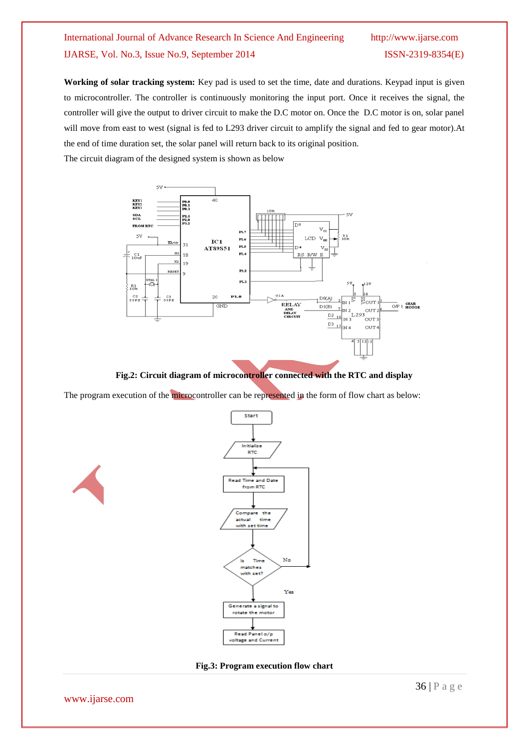## International Journal of Advance Research In Science And Engineering http://www.ijarse.com IJARSE, Vol. No.3, Issue No.9, September 2014 ISSN-2319-8354(E)

**Working of solar tracking system:** Key pad is used to set the time, date and durations. Keypad input is given to microcontroller. The controller is continuously monitoring the input port. Once it receives the signal, the controller will give the output to driver circuit to make the D.C motor on. Once the D.C motor is on, solar panel will move from east to west (signal is fed to L293 driver circuit to amplify the signal and fed to gear motor).At the end of time duration set, the solar panel will return back to its original position. The circuit diagram of the designed system is shown as below



**Fig.2: Circuit diagram of microcontroller connected with the RTC and display**

The program execution of the microcontroller can be represented in the form of flow chart as below:





**Fig.3: Program execution flow chart**

www.ijarse.com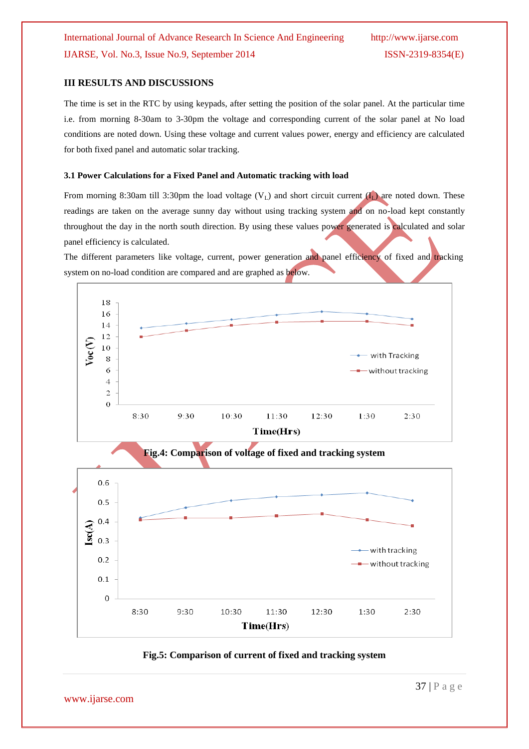#### **III RESULTS AND DISCUSSIONS**

The time is set in the RTC by using keypads, after setting the position of the solar panel. At the particular time i.e. from morning 8-30am to 3-30pm the voltage and corresponding current of the solar panel at No load conditions are noted down. Using these voltage and current values power, energy and efficiency are calculated for both fixed panel and automatic solar tracking.

#### **3.1 Power Calculations for a Fixed Panel and Automatic tracking with load**

From morning 8:30am till 3:30pm the load voltage  $(V<sub>L</sub>)$  and short circuit current  $(I<sub>L</sub>)$  are noted down. These readings are taken on the average sunny day without using tracking system and on no-load kept constantly throughout the day in the north south direction. By using these values power generated is calculated and solar panel efficiency is calculated.

The different parameters like voltage, current, power generation and panel efficiency of fixed and tracking system on no-load condition are compared and are graphed as below.



#### **Fig.5: Comparison of current of fixed and tracking system**

www.ijarse.com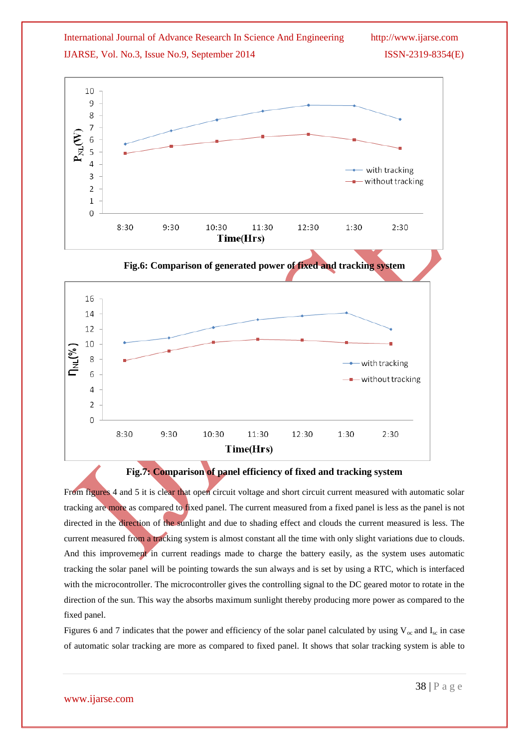



#### **Fig.7: Comparison of panel efficiency of fixed and tracking system**

From figures 4 and 5 it is clear that open circuit voltage and short circuit current measured with automatic solar tracking are more as compared to fixed panel. The current measured from a fixed panel is less as the panel is not directed in the direction of the sunlight and due to shading effect and clouds the current measured is less. The current measured from a tracking system is almost constant all the time with only slight variations due to clouds. And this improvement in current readings made to charge the battery easily, as the system uses automatic tracking the solar panel will be pointing towards the sun always and is set by using a RTC, which is interfaced with the microcontroller. The microcontroller gives the controlling signal to the DC geared motor to rotate in the direction of the sun. This way the absorbs maximum sunlight thereby producing more power as compared to the fixed panel.

Figures 6 and 7 indicates that the power and efficiency of the solar panel calculated by using  $V_{\text{oc}}$  and  $I_{\text{sc}}$  in case of automatic solar tracking are more as compared to fixed panel. It shows that solar tracking system is able to